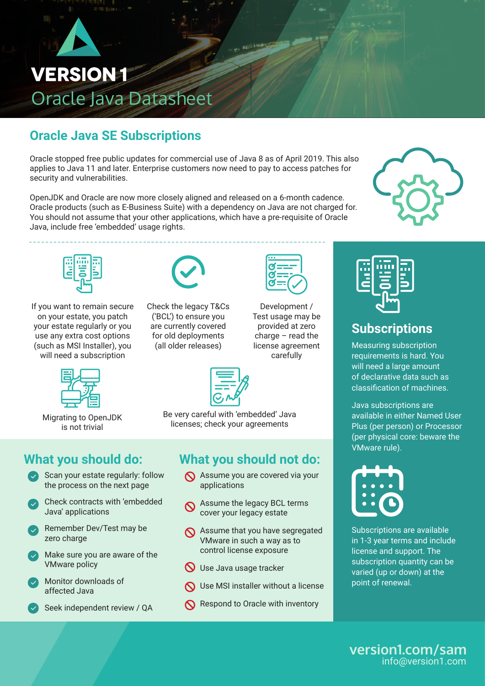

## **Oracle Java SE Subscriptions**

Oracle stopped free public updates for commercial use of Java 8 as of April 2019. This also applies to Java 11 and later. Enterprise customers now need to pay to access patches for security and vulnerabilities.

OpenJDK and Oracle are now more closely aligned and released on a 6-month cadence. Oracle products (such as E-Business Suite) with a dependency on Java are not charged for. You should not assume that your other applications, which have a pre-requisite of Oracle Java, include free 'embedded' usage rights.





If you want to remain secure on your estate, you patch your estate regularly or you use any extra cost options (such as MSI Installer), you will need a subscription



Migrating to OpenJDK is not trivial



Check the legacy T&Cs ('BCL') to ensure you are currently covered for old deployments (all older releases)



Development / Test usage may be provided at zero charge – read the license agreement carefully



## **Subscriptions**

Measuring subscription requirements is hard. You will need a large amount of declarative data such as classification of machines.

Java subscriptions are available in either Named User Plus (per person) or Processor (per physical core: beware the VMware rule).



Subscriptions are available in 1-3 year terms and include license and support. The subscription quantity can be varied (up or down) at the point of renewal.

Be very careful with 'embedded' Java licenses; check your agreements

**What you should not do:**

- Assume you are covered via your applications
- Assume the legacy BCL terms cover your legacy estate
- Assume that you have segregated VMware in such a way as to control license exposure
- $\bigcirc$  Use Java usage tracker
- **N** Use MSI installer without a license
- Respond to Oracle with inventory



- Scan your estate regularly: follow the process on the next page
- Check contracts with 'embedded Java' applications
- Remember Dev/Test may be zero charge
- **Fraud Wedge Policy** Make sure you are aware of the
- Monitor downloads of affected Java
- Seek independent review / QA